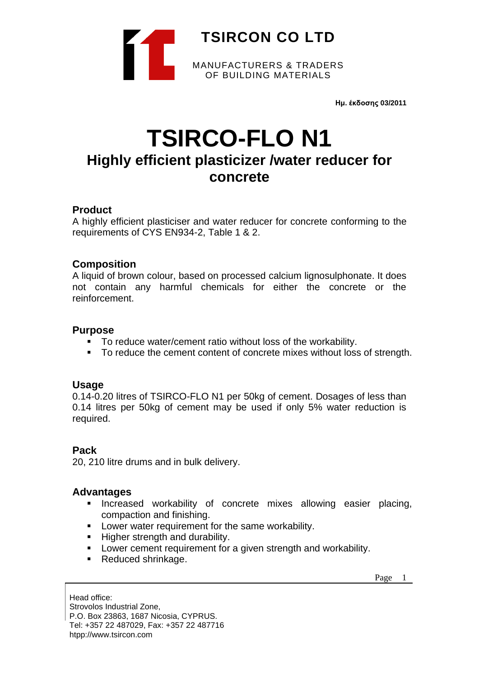

**Ημ. έκδοσης 03/2011**

# **TSIRCO-FLO N1 Highly efficient plasticizer /water reducer for concrete**

## **Product**

A highly efficient plasticiser and water reducer for concrete conforming to the requirements of CYS EN934-2, Table 1 & 2.

## **Composition**

A liquid of brown colour, based on processed calcium lignosulphonate. It does not contain any harmful chemicals for either the concrete or the reinforcement.

## **Purpose**

- To reduce water/cement ratio without loss of the workability.
- To reduce the cement content of concrete mixes without loss of strength.

## **Usage**

0.14-0.20 litres of TSIRCO-FLO N1 per 50kg of cement. Dosages of less than 0.14 litres per 50kg of cement may be used if only 5% water reduction is required.

## **Pack**

20, 210 litre drums and in bulk delivery.

## **Advantages**

- **·** Increased workability of concrete mixes allowing easier placing, compaction and finishing.
- Lower water requirement for the same workability.
- Higher strength and durability.
- Lower cement requirement for a given strength and workability.
- Reduced shrinkage.

Page 1

Head office: Strovolos Industrial Zone, P.O. Box 23863, 1687 Nicosia, CYPRUS. Tel: +357 22 487029, Fax: +357 22 487716 htpp://www.tsircon.com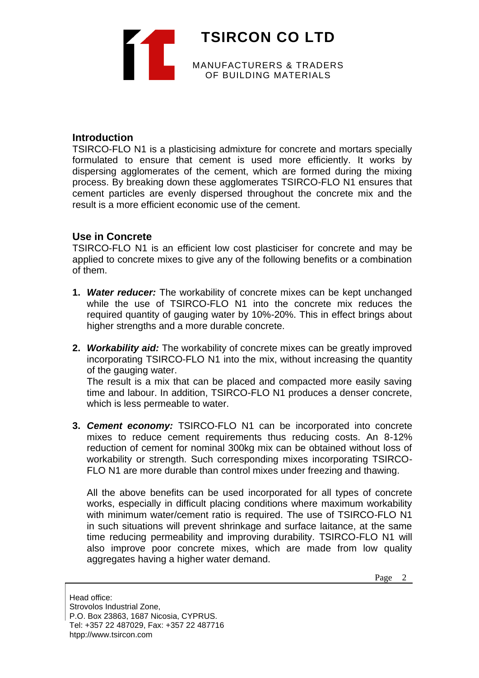

#### **Introduction**

TSIRCO-FLO N1 is a plasticising admixture for concrete and mortars specially formulated to ensure that cement is used more efficiently. It works by dispersing agglomerates of the cement, which are formed during the mixing process. By breaking down these agglomerates TSIRCO-FLO N1 ensures that cement particles are evenly dispersed throughout the concrete mix and the result is a more efficient economic use of the cement.

#### **Use in Concrete**

TSIRCO-FLO N1 is an efficient low cost plasticiser for concrete and may be applied to concrete mixes to give any of the following benefits or a combination of them.

- **1.** *Water reducer:* The workability of concrete mixes can be kept unchanged while the use of TSIRCO-FLO N1 into the concrete mix reduces the required quantity of gauging water by 10%-20%. This in effect brings about higher strengths and a more durable concrete.
- **2.** *Workability aid:* The workability of concrete mixes can be greatly improved incorporating TSIRCO-FLO N1 into the mix, without increasing the quantity of the gauging water.

The result is a mix that can be placed and compacted more easily saving time and labour. In addition, TSIRCO-FLO N1 produces a denser concrete, which is less permeable to water.

**3.** *Cement economy:* TSIRCO-FLO N1 can be incorporated into concrete mixes to reduce cement requirements thus reducing costs. An 8-12% reduction of cement for nominal 300kg mix can be obtained without loss of workability or strength. Such corresponding mixes incorporating TSIRCO-FLO N1 are more durable than control mixes under freezing and thawing.

All the above benefits can be used incorporated for all types of concrete works, especially in difficult placing conditions where maximum workability with minimum water/cement ratio is required. The use of TSIRCO-FLO N1 in such situations will prevent shrinkage and surface laitance, at the same time reducing permeability and improving durability. TSIRCO-FLO N1 will also improve poor concrete mixes, which are made from low quality aggregates having a higher water demand.

Page 2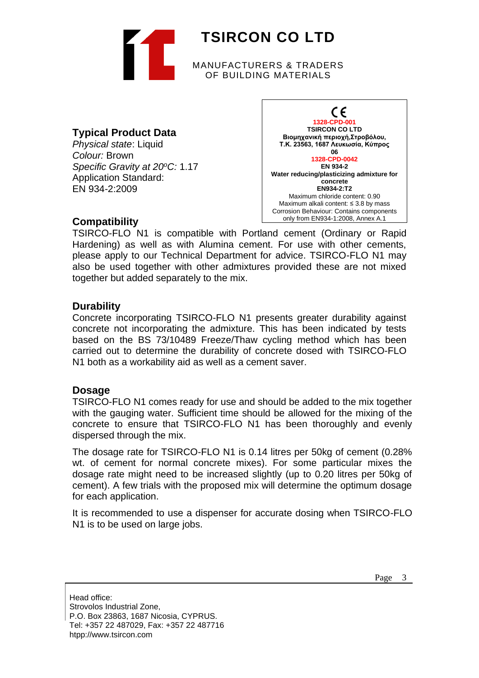

## **Typical Product Data**

*Physical state*: Liquid *Colour:* Brown *Specific Gravity at 20<sup>o</sup>C:* 1.17 Application Standard: EN 934-2:2009



#### **Compatibility**

TSIRCO-FLO N1 is compatible with Portland cement (Ordinary or Rapid Hardening) as well as with Alumina cement. For use with other cements, please apply to our Technical Department for advice. TSIRCO-FLO N1 may also be used together with other admixtures provided these are not mixed together but added separately to the mix.

## **Durability**

Concrete incorporating TSIRCO-FLO N1 presents greater durability against concrete not incorporating the admixture. This has been indicated by tests based on the BS 73/10489 Freeze/Thaw cycling method which has been carried out to determine the durability of concrete dosed with TSIRCO-FLO N1 both as a workability aid as well as a cement saver.

## **Dosage**

TSIRCO-FLO N1 comes ready for use and should be added to the mix together with the gauging water. Sufficient time should be allowed for the mixing of the concrete to ensure that TSIRCO-FLO N1 has been thoroughly and evenly dispersed through the mix.

The dosage rate for TSIRCO-FLO N1 is 0.14 litres per 50kg of cement (0.28% wt. of cement for normal concrete mixes). For some particular mixes the dosage rate might need to be increased slightly (up to 0.20 litres per 50kg of cement). A few trials with the proposed mix will determine the optimum dosage for each application.

It is recommended to use a dispenser for accurate dosing when TSIRCO-FLO N1 is to be used on large jobs.